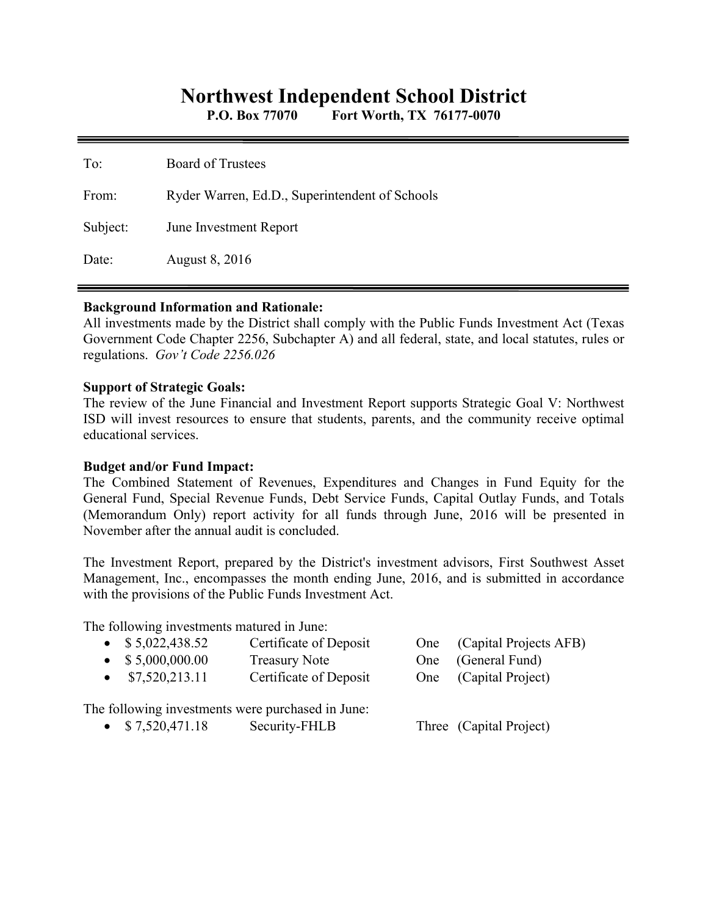# **Northwest Independent School District**

**P.O. Box 77070 Fort Worth, TX 76177-0070** 

| To:      | <b>Board of Trustees</b>                       |
|----------|------------------------------------------------|
| From:    | Ryder Warren, Ed.D., Superintendent of Schools |
| Subject: | June Investment Report                         |
| Date:    | August 8, 2016                                 |

#### **Background Information and Rationale:**

All investments made by the District shall comply with the Public Funds Investment Act (Texas Government Code Chapter 2256, Subchapter A) and all federal, state, and local statutes, rules or regulations. *Gov't Code 2256.026* 

#### **Support of Strategic Goals:**

The review of the June Financial and Investment Report supports Strategic Goal V: Northwest ISD will invest resources to ensure that students, parents, and the community receive optimal educational services.

### **Budget and/or Fund Impact:**

The Combined Statement of Revenues, Expenditures and Changes in Fund Equity for the General Fund, Special Revenue Funds, Debt Service Funds, Capital Outlay Funds, and Totals (Memorandum Only) report activity for all funds through June, 2016 will be presented in November after the annual audit is concluded.

The Investment Report, prepared by the District's investment advisors, First Southwest Asset Management, Inc., encompasses the month ending June, 2016, and is submitted in accordance with the provisions of the Public Funds Investment Act.

The following investments matured in June:

| $\bullet$ \$5,022,438.52                          | Certificate of Deposit | One (Capital Projects AFB) |
|---------------------------------------------------|------------------------|----------------------------|
| $\bullet$ \$ 5,000,000.00                         | <b>Treasury Note</b>   | One (General Fund)         |
| $\bullet$ \$7,520,213.11                          | Certificate of Deposit | One (Capital Project)      |
| The following investments were purchased in June: |                        |                            |

• \$7,520,471.18 Security-FHLB Three (Capital Project)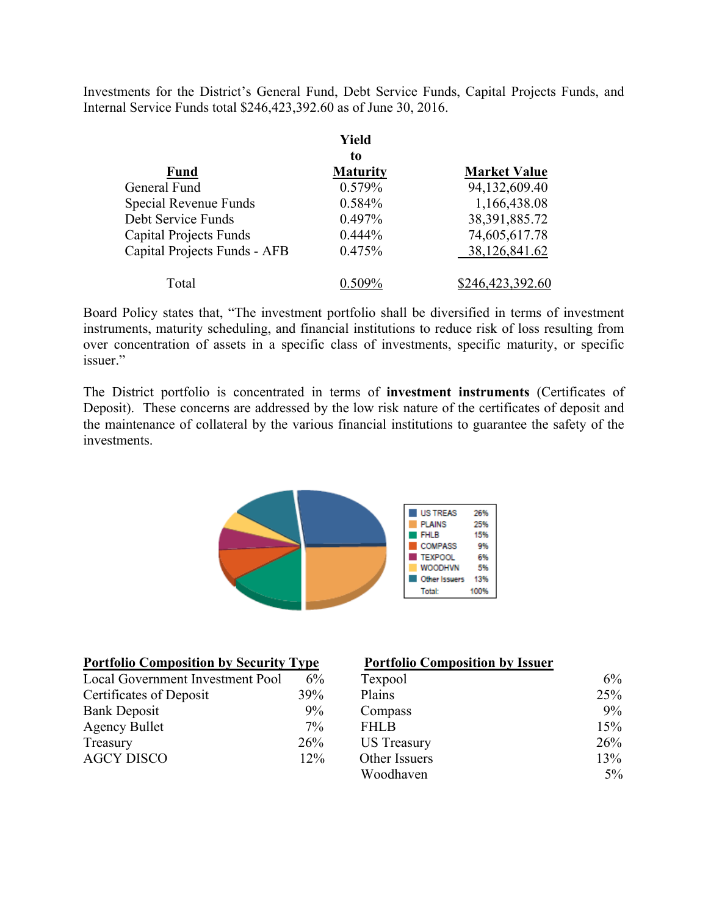Investments for the District's General Fund, Debt Service Funds, Capital Projects Funds, and Internal Service Funds total \$246,423,392.60 as of June 30, 2016.

|                               | Yield           |                     |  |  |
|-------------------------------|-----------------|---------------------|--|--|
|                               | to              |                     |  |  |
| <b>Fund</b>                   | <b>Maturity</b> | <b>Market Value</b> |  |  |
| General Fund                  | 0.579%          | 94,132,609.40       |  |  |
| Special Revenue Funds         | 0.584%          | 1,166,438.08        |  |  |
| Debt Service Funds            | 0.497%          | 38, 391, 885. 72    |  |  |
| <b>Capital Projects Funds</b> | $0.444\%$       | 74,605,617.78       |  |  |
| Capital Projects Funds - AFB  | 0.475%          | 38,126,841.62       |  |  |
| Total                         |                 | \$246,423,392.60    |  |  |

Board Policy states that, "The investment portfolio shall be diversified in terms of investment instruments, maturity scheduling, and financial institutions to reduce risk of loss resulting from over concentration of assets in a specific class of investments, specific maturity, or specific issuer."

The District portfolio is concentrated in terms of **investment instruments** (Certificates of Deposit). These concerns are addressed by the low risk nature of the certificates of deposit and the maintenance of collateral by the various financial institutions to guarantee the safety of the investments.



| <b>Portfolio Composition by Security Type</b> |       | <b>Portfolio Composition by Issuer</b> |     |
|-----------------------------------------------|-------|----------------------------------------|-----|
| Local Government Investment Pool              | 6%    | Texpool                                | 6%  |
| Certificates of Deposit                       | 39%   | Plains                                 | 25% |
| <b>Bank Deposit</b>                           | $9\%$ | Compass                                | 9%  |
| <b>Agency Bullet</b>                          | 7%    | <b>FHLB</b>                            | 15% |
| Treasury                                      | 26%   | <b>US</b> Treasury                     | 26% |
| <b>AGCY DISCO</b>                             | 12%   | Other Issuers                          | 13% |
|                                               |       | Woodhaven                              | 5%  |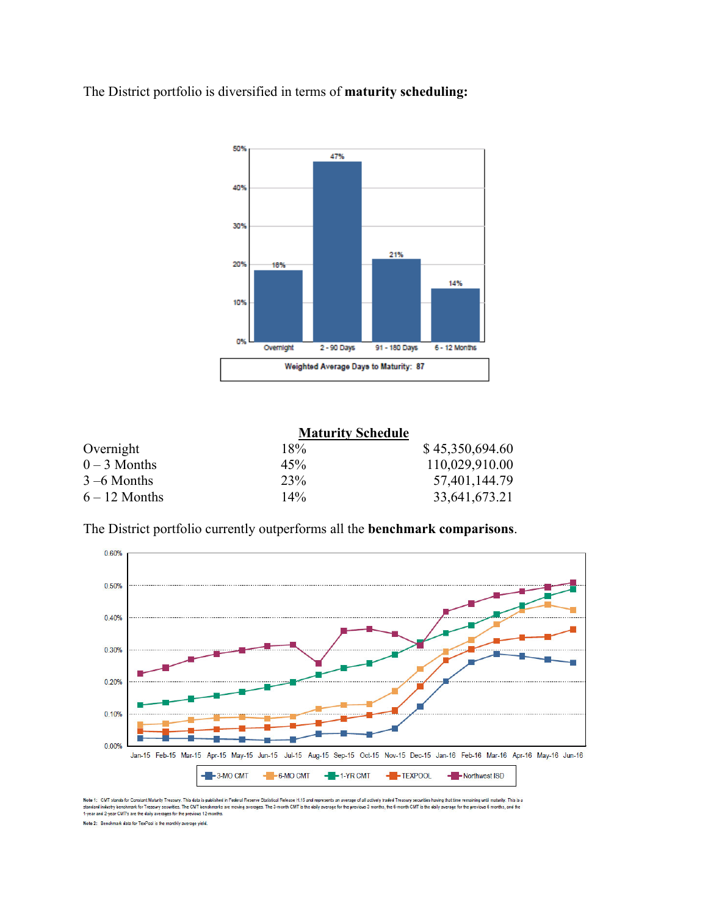The District portfolio is diversified in terms of **maturity scheduling:** 



|                 | <b>Maturity Schedule</b> |                 |
|-----------------|--------------------------|-----------------|
| Overnight       | 18%                      | \$45,350,694.60 |
| $0 - 3$ Months  | 45%                      | 110,029,910.00  |
| $3 - 6$ Months  | 23%                      | 57,401,144.79   |
| $6 - 12$ Months | 14%                      | 33,641,673.21   |

The District portfolio currently outperforms all the **benchmark comparisons**.



Note 1: CMT stands for Constant Maturity Treasury. This data is published in Federal Resent Stational Release H.15 and represents an average of all actively traded Treasury securities having that time remaining until matur Note 2: Benchmark data for TexPool is the monthly average yield.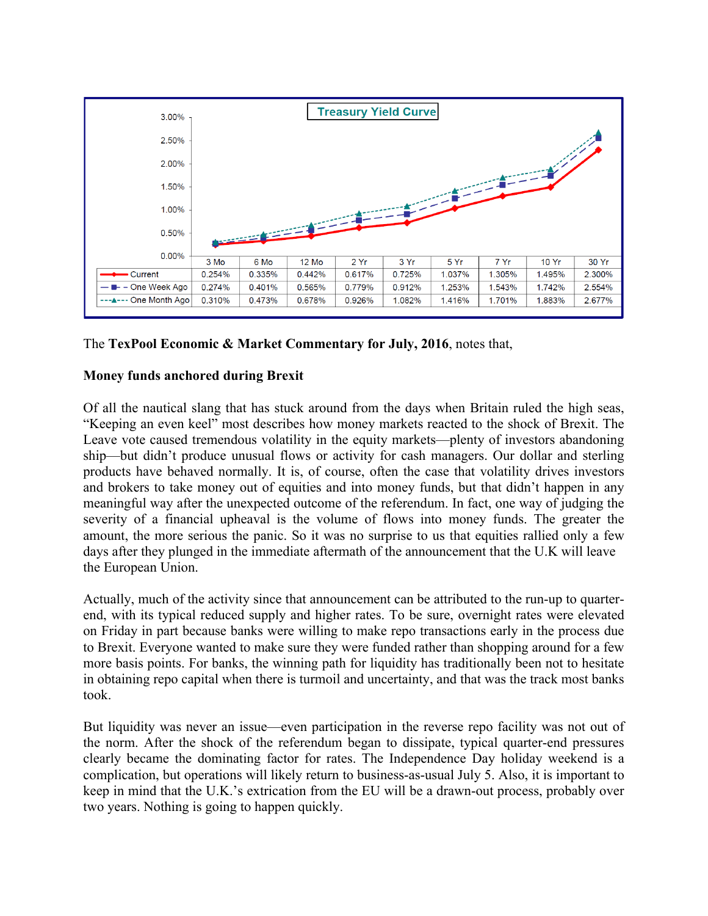

The **TexPool Economic & Market Commentary for July, 2016**, notes that,

## **Money funds anchored during Brexit**

Of all the nautical slang that has stuck around from the days when Britain ruled the high seas, "Keeping an even keel" most describes how money markets reacted to the shock of Brexit. The Leave vote caused tremendous volatility in the equity markets—plenty of investors abandoning ship—but didn't produce unusual flows or activity for cash managers. Our dollar and sterling products have behaved normally. It is, of course, often the case that volatility drives investors and brokers to take money out of equities and into money funds, but that didn't happen in any meaningful way after the unexpected outcome of the referendum. In fact, one way of judging the severity of a financial upheaval is the volume of flows into money funds. The greater the amount, the more serious the panic. So it was no surprise to us that equities rallied only a few days after they plunged in the immediate aftermath of the announcement that the U.K will leave the European Union.

Actually, much of the activity since that announcement can be attributed to the run-up to quarterend, with its typical reduced supply and higher rates. To be sure, overnight rates were elevated on Friday in part because banks were willing to make repo transactions early in the process due to Brexit. Everyone wanted to make sure they were funded rather than shopping around for a few more basis points. For banks, the winning path for liquidity has traditionally been not to hesitate in obtaining repo capital when there is turmoil and uncertainty, and that was the track most banks took.

But liquidity was never an issue—even participation in the reverse repo facility was not out of the norm. After the shock of the referendum began to dissipate, typical quarter-end pressures clearly became the dominating factor for rates. The Independence Day holiday weekend is a complication, but operations will likely return to business-as-usual July 5. Also, it is important to keep in mind that the U.K.'s extrication from the EU will be a drawn-out process, probably over two years. Nothing is going to happen quickly.